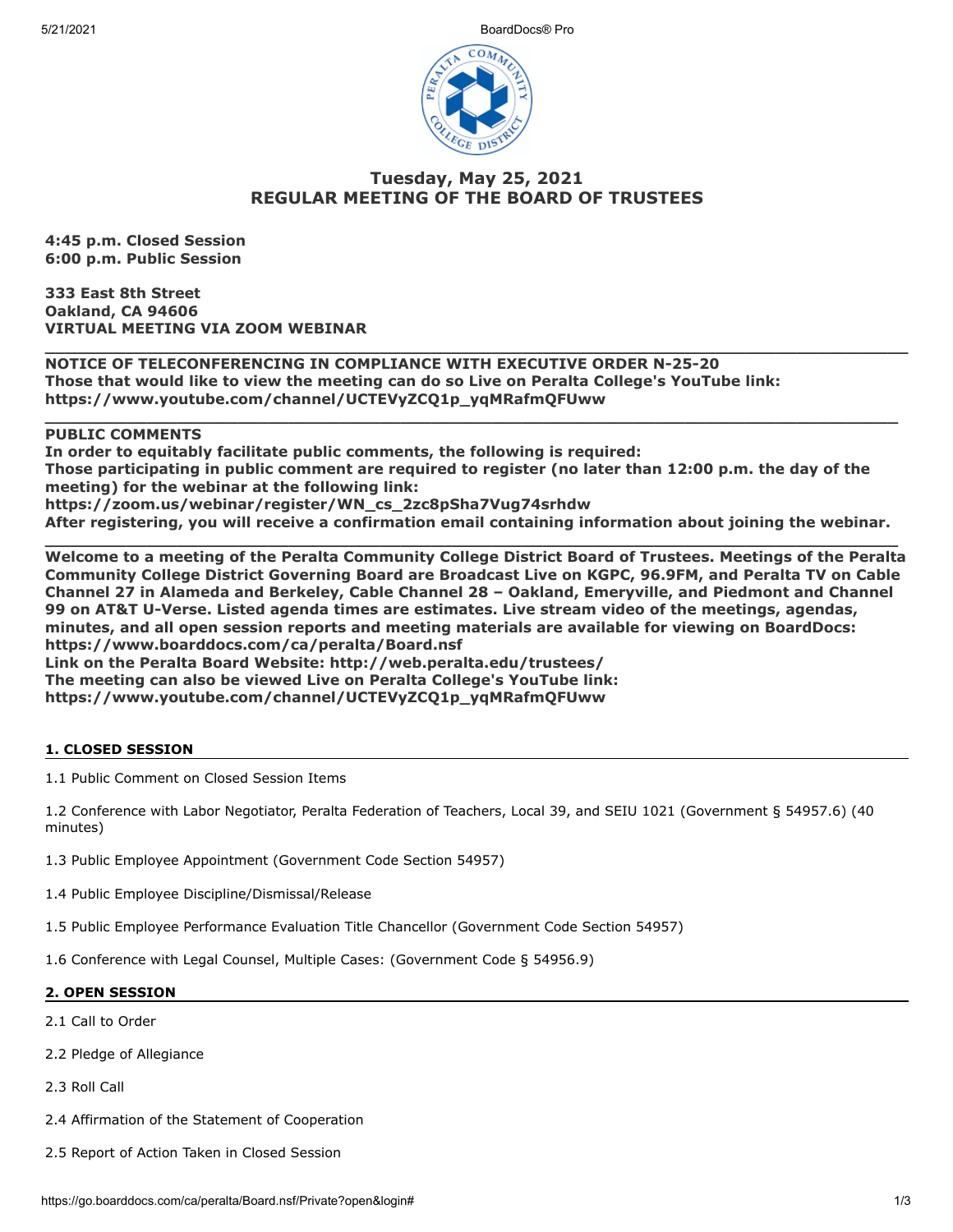5/21/2021 BoardDocs® Pro



# **Tuesday, May 25, 2021 REGULAR MEETING OF THE BOARD OF TRUSTEES**

**\_\_\_\_\_\_\_\_\_\_\_\_\_\_\_\_\_\_\_\_\_\_\_\_\_\_\_\_\_\_\_\_\_\_\_\_\_\_\_\_\_\_\_\_\_\_\_\_\_\_\_\_\_\_\_\_\_\_\_\_\_\_\_\_\_\_\_\_\_\_\_\_\_\_\_\_\_\_\_\_\_\_\_\_\_**

**\_\_\_\_\_\_\_\_\_\_\_\_\_\_\_\_\_\_\_\_\_\_\_\_\_\_\_\_\_\_\_\_\_\_\_\_\_\_\_\_\_\_\_\_\_\_\_\_\_\_\_\_\_\_\_\_\_\_\_\_\_\_\_\_\_\_\_\_\_\_\_\_\_\_\_\_\_\_\_\_\_\_\_\_**

**4:45 p.m. Closed Session 6:00 p.m. Public Session**

**333 East 8th Street Oakland, CA 94606 VIRTUAL MEETING VIA ZOOM WEBINAR**

**NOTICE OF TELECONFERENCING IN COMPLIANCE WITH EXECUTIVE ORDER N-25-20 Those that would like to view the meeting can do so Live on Peralta College's YouTube link: https://www.youtube.com/channel/UCTEVyZCQ1p\_yqMRafmQFUww** 

# **PUBLIC COMMENTS**

**In order to equitably facilitate public comments, the following is required: Those participating in public comment are required to register (no later than 12:00 p.m. the day of the meeting) for the webinar at the following link: https://zoom.us/webinar/register/WN\_cs\_2zc8pSha7Vug74srhdw After registering, you will receive a confirmation email containing information about joining the webinar.**

**\_\_\_\_\_\_\_\_\_\_\_\_\_\_\_\_\_\_\_\_\_\_\_\_\_\_\_\_\_\_\_\_\_\_\_\_\_\_\_\_\_\_\_\_\_\_\_\_\_\_\_\_\_\_\_\_\_\_\_\_\_\_\_\_\_\_\_\_\_\_\_\_\_\_\_\_\_\_\_\_\_\_\_\_ Welcome to a meeting of the Peralta Community College District Board of Trustees. Meetings of the Peralta Community College District Governing Board are Broadcast Live on KGPC, 96.9FM, and Peralta TV on Cable Channel 27 in Alameda and Berkeley, Cable Channel 28 – Oakland, Emeryville, and Piedmont and Channel 99 on AT&T U-Verse. Listed agenda times are estimates. Live stream video of the meetings, agendas, minutes, and all open session reports and meeting materials are available for viewing on BoardDocs: https://www.boarddocs.com/ca/peralta/Board.nsf Link on the Peralta Board Website: http://web.peralta.edu/trustees/ The meeting can also be viewed Live on Peralta College's YouTube link:**

**https://www.youtube.com/channel/UCTEVyZCQ1p\_yqMRafmQFUww**

# **1. CLOSED SESSION**

1.1 Public Comment on Closed Session Items

1.2 Conference with Labor Negotiator, Peralta Federation of Teachers, Local 39, and SEIU 1021 (Government § 54957.6) (40 minutes)

1.3 Public Employee Appointment (Government Code Section 54957)

1.4 Public Employee Discipline/Dismissal/Release

1.5 Public Employee Performance Evaluation Title Chancellor (Government Code Section 54957)

1.6 Conference with Legal Counsel, Multiple Cases: (Government Code § 54956.9)

# **2. OPEN SESSION**

- 2.1 Call to Order
- 2.2 Pledge of Allegiance
- 2.3 Roll Call
- 2.4 Affirmation of the Statement of Cooperation
- 2.5 Report of Action Taken in Closed Session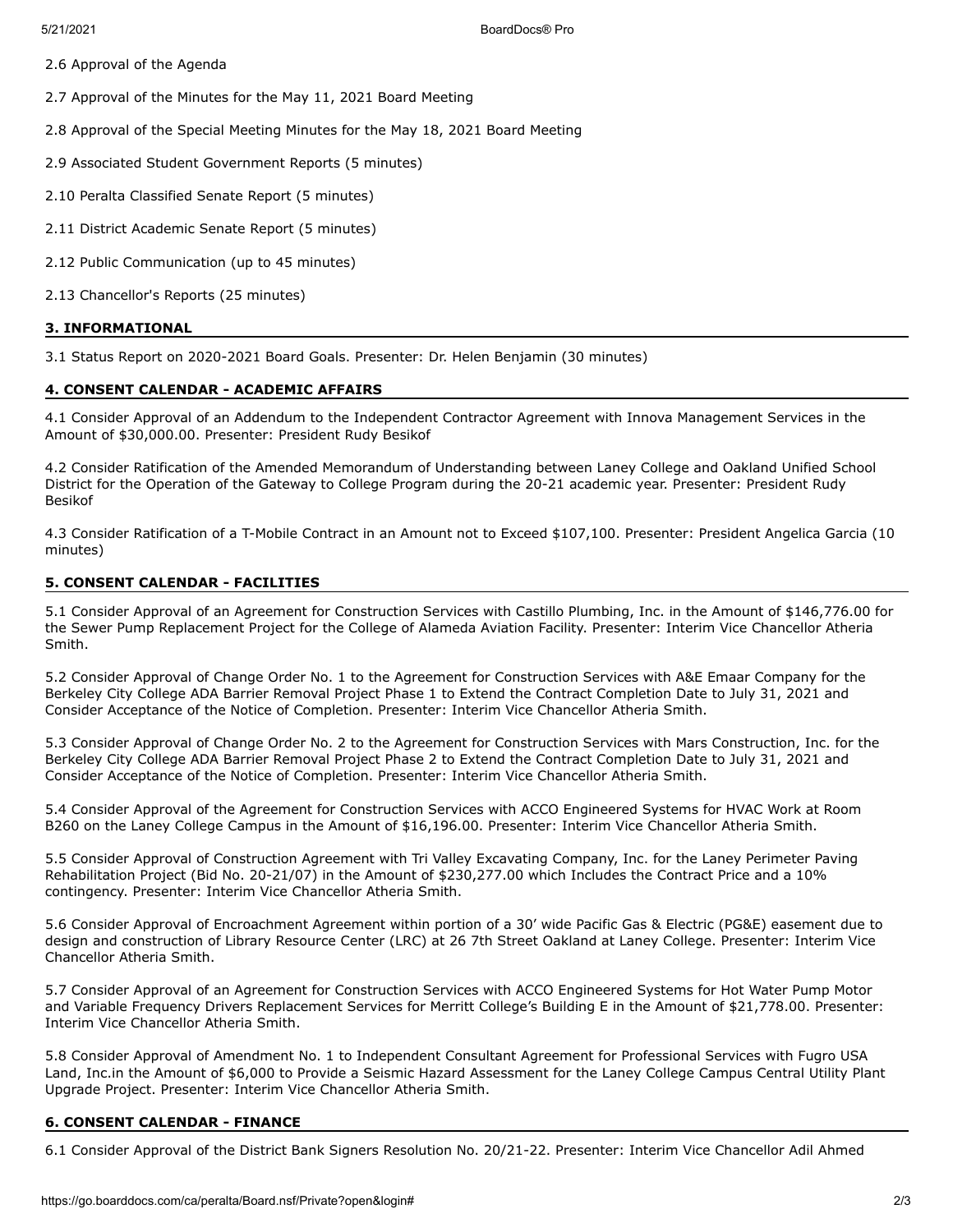2.6 Approval of the Agenda

2.7 Approval of the Minutes for the May 11, 2021 Board Meeting

2.8 Approval of the Special Meeting Minutes for the May 18, 2021 Board Meeting

2.9 Associated Student Government Reports (5 minutes)

2.10 Peralta Classified Senate Report (5 minutes)

2.11 District Academic Senate Report (5 minutes)

2.12 Public Communication (up to 45 minutes)

2.13 Chancellor's Reports (25 minutes)

## **3. INFORMATIONAL**

3.1 Status Report on 2020-2021 Board Goals. Presenter: Dr. Helen Benjamin (30 minutes)

## **4. CONSENT CALENDAR - ACADEMIC AFFAIRS**

4.1 Consider Approval of an Addendum to the Independent Contractor Agreement with Innova Management Services in the Amount of \$30,000.00. Presenter: President Rudy Besikof

4.2 Consider Ratification of the Amended Memorandum of Understanding between Laney College and Oakland Unified School District for the Operation of the Gateway to College Program during the 20-21 academic year. Presenter: President Rudy Besikof

4.3 Consider Ratification of a T-Mobile Contract in an Amount not to Exceed \$107,100. Presenter: President Angelica Garcia (10 minutes)

## **5. CONSENT CALENDAR - FACILITIES**

5.1 Consider Approval of an Agreement for Construction Services with Castillo Plumbing, Inc. in the Amount of \$146,776.00 for the Sewer Pump Replacement Project for the College of Alameda Aviation Facility. Presenter: Interim Vice Chancellor Atheria Smith.

5.2 Consider Approval of Change Order No. 1 to the Agreement for Construction Services with A&E Emaar Company for the Berkeley City College ADA Barrier Removal Project Phase 1 to Extend the Contract Completion Date to July 31, 2021 and Consider Acceptance of the Notice of Completion. Presenter: Interim Vice Chancellor Atheria Smith.

5.3 Consider Approval of Change Order No. 2 to the Agreement for Construction Services with Mars Construction, Inc. for the Berkeley City College ADA Barrier Removal Project Phase 2 to Extend the Contract Completion Date to July 31, 2021 and Consider Acceptance of the Notice of Completion. Presenter: Interim Vice Chancellor Atheria Smith.

5.4 Consider Approval of the Agreement for Construction Services with ACCO Engineered Systems for HVAC Work at Room B260 on the Laney College Campus in the Amount of \$16,196.00. Presenter: Interim Vice Chancellor Atheria Smith.

5.5 Consider Approval of Construction Agreement with Tri Valley Excavating Company, Inc. for the Laney Perimeter Paving Rehabilitation Project (Bid No. 20-21/07) in the Amount of \$230,277.00 which Includes the Contract Price and a 10% contingency. Presenter: Interim Vice Chancellor Atheria Smith.

5.6 Consider Approval of Encroachment Agreement within portion of a 30' wide Pacific Gas & Electric (PG&E) easement due to design and construction of Library Resource Center (LRC) at 26 7th Street Oakland at Laney College. Presenter: Interim Vice Chancellor Atheria Smith.

5.7 Consider Approval of an Agreement for Construction Services with ACCO Engineered Systems for Hot Water Pump Motor and Variable Frequency Drivers Replacement Services for Merritt College's Building E in the Amount of \$21,778.00. Presenter: Interim Vice Chancellor Atheria Smith.

5.8 Consider Approval of Amendment No. 1 to Independent Consultant Agreement for Professional Services with Fugro USA Land, Inc.in the Amount of \$6,000 to Provide a Seismic Hazard Assessment for the Laney College Campus Central Utility Plant Upgrade Project. Presenter: Interim Vice Chancellor Atheria Smith.

#### **6. CONSENT CALENDAR - FINANCE**

6.1 Consider Approval of the District Bank Signers Resolution No. 20/21-22. Presenter: Interim Vice Chancellor Adil Ahmed